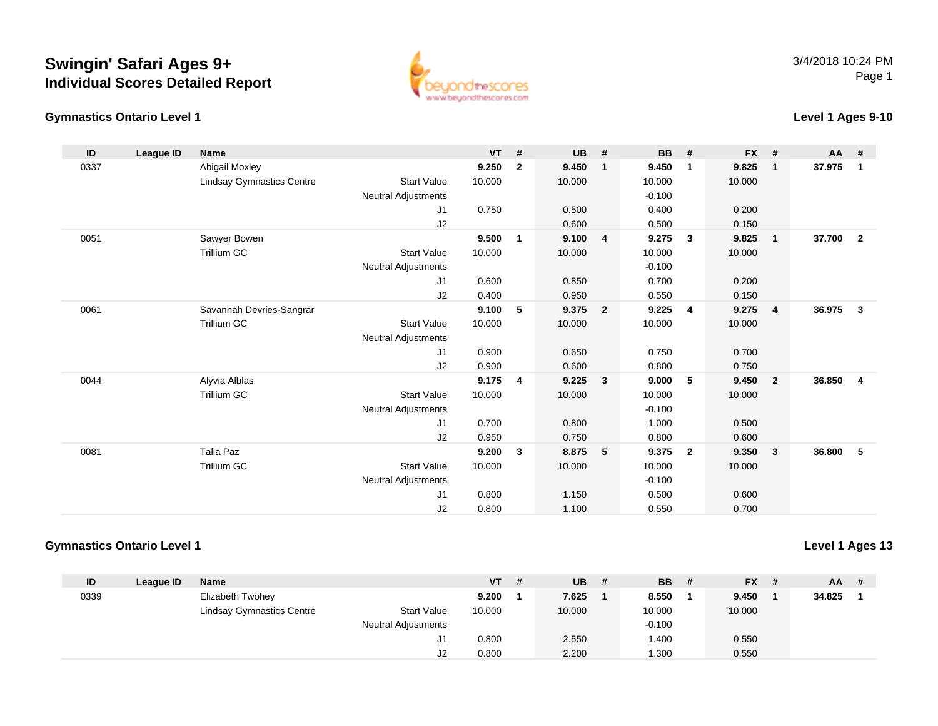## **Swingin' Safari Ages 9+Individual Scores Detailed Report**





## **Level 1 Ages 9-10**

| ID   | League ID | <b>Name</b>                      |                            | <b>VT</b> | #            | <b>UB</b> | #              | <b>BB</b> | #              | <b>FX</b> | #                       | AA     | #              |
|------|-----------|----------------------------------|----------------------------|-----------|--------------|-----------|----------------|-----------|----------------|-----------|-------------------------|--------|----------------|
| 0337 |           | <b>Abigail Moxley</b>            |                            | 9.250     | $\mathbf{2}$ | 9.450     | $\mathbf{1}$   | 9.450     | $\mathbf{1}$   | 9.825     | $\mathbf{1}$            | 37.975 | $\overline{1}$ |
|      |           | <b>Lindsay Gymnastics Centre</b> | <b>Start Value</b>         | 10.000    |              | 10.000    |                | 10.000    |                | 10.000    |                         |        |                |
|      |           |                                  | <b>Neutral Adjustments</b> |           |              |           |                | $-0.100$  |                |           |                         |        |                |
|      |           |                                  | J1                         | 0.750     |              | 0.500     |                | 0.400     |                | 0.200     |                         |        |                |
|      |           |                                  | J2                         |           |              | 0.600     |                | 0.500     |                | 0.150     |                         |        |                |
| 0051 |           | Sawyer Bowen                     |                            | 9.500     | $\mathbf{1}$ | 9.100     | 4              | 9.275     | $\mathbf{3}$   | 9.825     | $\overline{\mathbf{1}}$ | 37.700 | $\overline{2}$ |
|      |           | <b>Trillium GC</b>               | <b>Start Value</b>         | 10.000    |              | 10.000    |                | 10.000    |                | 10.000    |                         |        |                |
|      |           |                                  | <b>Neutral Adjustments</b> |           |              |           |                | $-0.100$  |                |           |                         |        |                |
|      |           |                                  | J1                         | 0.600     |              | 0.850     |                | 0.700     |                | 0.200     |                         |        |                |
|      |           |                                  | J2                         | 0.400     |              | 0.950     |                | 0.550     |                | 0.150     |                         |        |                |
| 0061 |           | Savannah Devries-Sangrar         |                            | 9.100     | 5            | 9.375     | $\overline{2}$ | 9.225     | $\overline{4}$ | 9.275     | $\overline{4}$          | 36.975 | 3              |
|      |           | <b>Trillium GC</b>               | <b>Start Value</b>         | 10.000    |              | 10.000    |                | 10.000    |                | 10.000    |                         |        |                |
|      |           |                                  | <b>Neutral Adjustments</b> |           |              |           |                |           |                |           |                         |        |                |
|      |           |                                  | J1                         | 0.900     |              | 0.650     |                | 0.750     |                | 0.700     |                         |        |                |
|      |           |                                  | J2                         | 0.900     |              | 0.600     |                | 0.800     |                | 0.750     |                         |        |                |
| 0044 |           | Alyvia Alblas                    |                            | 9.175     | 4            | 9.225     | 3              | 9.000     | 5              | 9.450     | $\overline{\mathbf{2}}$ | 36.850 | $\overline{4}$ |
|      |           | <b>Trillium GC</b>               | <b>Start Value</b>         | 10.000    |              | 10.000    |                | 10.000    |                | 10.000    |                         |        |                |
|      |           |                                  | Neutral Adjustments        |           |              |           |                | $-0.100$  |                |           |                         |        |                |
|      |           |                                  | J1                         | 0.700     |              | 0.800     |                | 1.000     |                | 0.500     |                         |        |                |
|      |           |                                  | J <sub>2</sub>             | 0.950     |              | 0.750     |                | 0.800     |                | 0.600     |                         |        |                |
| 0081 |           | <b>Talia Paz</b>                 |                            | 9.200     | $\mathbf{3}$ | 8.875     | 5              | 9.375     | $\overline{2}$ | 9.350     | $\overline{\mathbf{3}}$ | 36.800 | - 5            |
|      |           | <b>Trillium GC</b>               | <b>Start Value</b>         | 10.000    |              | 10.000    |                | 10.000    |                | 10.000    |                         |        |                |
|      |           |                                  | <b>Neutral Adjustments</b> |           |              |           |                | $-0.100$  |                |           |                         |        |                |
|      |           |                                  | J <sub>1</sub>             | 0.800     |              | 1.150     |                | 0.500     |                | 0.600     |                         |        |                |
|      |           |                                  | J <sub>2</sub>             | 0.800     |              | 1.100     |                | 0.550     |                | 0.700     |                         |        |                |

## **Gymnastics Ontario Level 1**

**Level 1 Ages 13**

| ID   | League ID | Name                             |                            | <b>VT</b> | # | UB.    | <b>BB</b> # | <b>FX</b> | - # | <b>AA</b> | # |
|------|-----------|----------------------------------|----------------------------|-----------|---|--------|-------------|-----------|-----|-----------|---|
| 0339 |           | <b>Elizabeth Twohey</b>          |                            | 9.200     |   | 7.625  | 8.550       | 9.450     |     | 34.825    |   |
|      |           | <b>Lindsay Gymnastics Centre</b> | <b>Start Value</b>         | 10.000    |   | 10.000 | 10.000      | 10.000    |     |           |   |
|      |           |                                  | <b>Neutral Adjustments</b> |           |   |        | $-0.100$    |           |     |           |   |
|      |           |                                  |                            | 0.800     |   | 2.550  | .400        | 0.550     |     |           |   |
|      |           |                                  | J2                         | 0.800     |   | 2.200  | .300        | 0.550     |     |           |   |